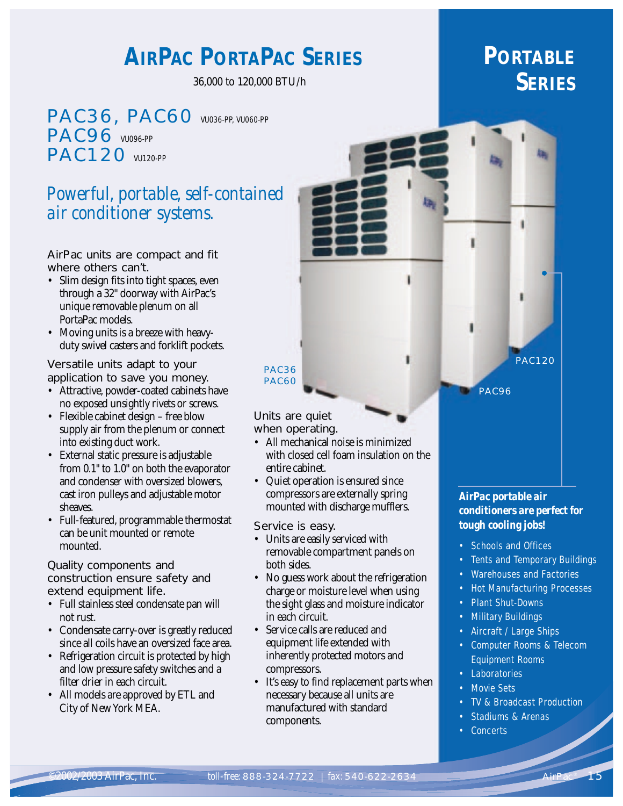# **AIRPAC PORTAPAC SERIES**

36,000 to 120,000 BTU/h

PAC36, PAC60 VU036-PP, VU060-PP **PAC96** VU096-PP PAC120 VU120-PP

# *Powerful, portable, self-contained air conditioner systems.*

### AirPac units are compact and fit where others can't.

- Slim design fits into tight spaces, even through a 32" doorway with AirPac's unique removable plenum on all PortaPac models.
- Moving units is a breeze with heavyduty swivel casters and forklift pockets.

### Versatile units adapt to your application to save you money.

- Attractive, powder-coated cabinets have no exposed unsightly rivets or screws.
- Flexible cabinet design free blow supply air from the plenum or connect into existing duct work.
- External static pressure is adjustable from 0.1" to 1.0" on both the evaporator and condenser with oversized blowers, cast iron pulleys and adjustable motor sheaves.
- Full-featured, programmable thermostat can be unit mounted or remote mounted.

#### Quality components and construction ensure safety and extend equipment life.

- Full stainless steel condensate pan will not rust.
- Condensate carry-over is greatly reduced since all coils have an oversized face area.
- Refrigeration circuit is protected by high and low pressure safety switches and a filter drier in each circuit.
- All models are approved by ETL and City of New York MEA.

# **PORTABLE SERIES**

PAC120

PAC96

#### Units are quiet when operating.

PAC36 PAC60

- All mechanical noise is minimized with closed cell foam insulation on the entire cabinet.
- Quiet operation is ensured since compressors are externally spring mounted with discharge mufflers.

### Service is easy.

- Units are easily serviced with removable compartment panels on both sides.
- No guess work about the refrigeration charge or moisture level when using the sight glass and moisture indicator in each circuit.
- Service calls are reduced and equipment life extended with inherently protected motors and compressors.
- It's easy to find replacement parts when necessary because all units are manufactured with standard components.

*AirPac portable air conditioners are perfect for tough cooling jobs!*

- Schools and Offices
- Tents and Temporary Buildings
- Warehouses and Factories
- Hot Manufacturing Processes
- Plant Shut-Downs
- Military Buildings
- Aircraft / Large Ships
- Computer Rooms & Telecom Equipment Rooms
- Laboratories
- **Movie Sets**
- TV & Broadcast Production
- Stadiums & Arenas
- **Concerts**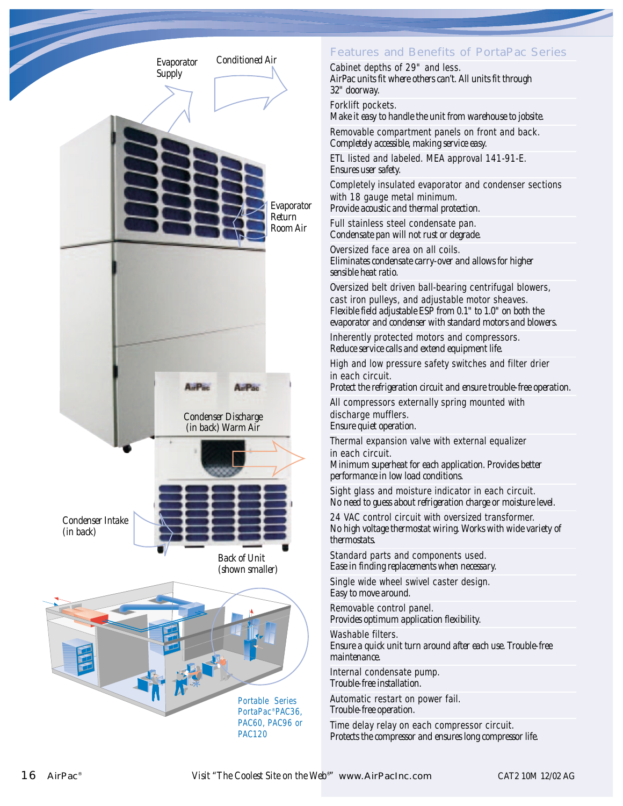

## Features and Benefits of PortaPac Series

Cabinet depths of 29" and less. *AirPac units fit where others can't. All units fit through 32" doorway.*

Forklift pockets.

*Make it easy to handle the unit from warehouse to jobsite.*

Removable compartment panels on front and back. *Completely accessible, making service easy.*

ETL listed and labeled. MEA approval 141-91-E. *Ensures user safety.*

Completely insulated evaporator and condenser sections with 18 gauge metal minimum.

*Provide acoustic and thermal protection.*

Full stainless steel condensate pan. *Condensate pan will not rust or degrade.*

Oversized face area on all coils. *Eliminates condensate carry-over and allows for higher sensible heat ratio.*

Oversized belt driven ball-bearing centrifugal blowers, cast iron pulleys, and adjustable motor sheaves. *Flexible field adjustable ESP from 0.1" to 1.0" on both the evaporator and condenser with standard motors and blowers.*

Inherently protected motors and compressors. *Reduce service calls and extend equipment life.*

High and low pressure safety switches and filter drier in each circuit.

*Protect the refrigeration circuit and ensure trouble-free operation.*

All compressors externally spring mounted with discharge mufflers. *Ensure quiet operation.*

Thermal expansion valve with external equalizer in each circuit.

*Minimum superheat for each application. Provides better performance in low load conditions.*

Sight glass and moisture indicator in each circuit. *No need to guess about refrigeration charge or moisture level.*

24 VAC control circuit with oversized transformer. *No high voltage thermostat wiring. Works with wide variety of thermostats.*

Standard parts and components used. *Ease in finding replacements when necessary.*

Single wide wheel swivel caster design. *Easy to move around.*

Removable control panel. *Provides optimum application flexibility.*

Washable filters.

*Ensure a quick unit turn around after each use. Trouble-free maintenance.*

Internal condensate pump. *Trouble-free installation.*

Automatic restart on power fail. *Trouble-free operation.*

Time delay relay on each compressor circuit. *Protects the compressor and ensures long compressor life.*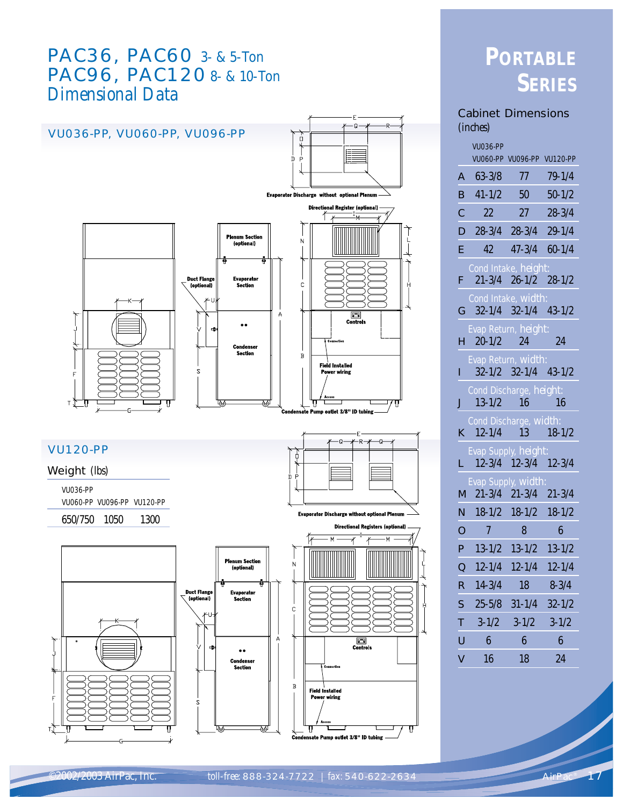# PAC36, PAC60 3- & 5-Ton PAC96, PAC120 8- & 10-Ton *Dimensional Data*



# **PORTABLE SERIES**

### Cabinet Dimensions *(inches)*

|                | <b>VU036-PP</b>                            |                            |            |
|----------------|--------------------------------------------|----------------------------|------------|
|                |                                            | VU060-PP VU096-PP VU120-PP |            |
| A              | $63 - 3/8$                                 | 77                         | $79 - 1/4$ |
| в              | $41 - 1/2$                                 | 50                         | $50 - 1/2$ |
| С              | 22                                         | 27 <sub>2</sub>            | $28 - 3/4$ |
| D              | $28 - 3/4$                                 | $28 - 3/4$                 | $29 - 1/4$ |
| E              | 42.                                        | $47-3/4$ 60-1/4            |            |
|                | Cond Intake, height:                       |                            |            |
| F              |                                            | $21-3/4$ $26-1/2$ $28-1/2$ |            |
| G              | Cond Intake, width:                        | $32-1/4$ $32-1/4$ $43-1/2$ |            |
|                | Evap Return, height:                       |                            |            |
| н              | $20 - 1/2$                                 | 24                         | 24         |
|                | Evap Return, width:                        |                            |            |
| L              |                                            | $32-1/2$ $32-1/4$ $43-1/2$ |            |
| J              | Cond Discharge, height:<br>$13 - 1/2$      | 16                         | 16         |
|                | Cond Discharge, width:                     |                            |            |
| K              | $12 - 1/4$                                 | 13                         | $18 - 1/2$ |
|                | Evap Supply, height:                       |                            |            |
| L.             |                                            | 12-3/4 12-3/4 12-3/4       |            |
|                | Evap Supply, width:<br>M $21-3/4$ $21-3/4$ |                            | $21 - 3/4$ |
| N.             |                                            | $18-1/2$ $18-1/2$          | $18 - 1/2$ |
| $\overline{O}$ | $\overline{7}$                             | 8                          | 6          |
| P              | $13 - 1/2$                                 | $13 - 1/2$                 | $13 - 1/2$ |
| $\overline{Q}$ | $12 - 1/4$                                 | $12 - 1/4$                 | $12 - 1/4$ |
| R              | $14 - 3/4$                                 | 18                         | $8 - 3/4$  |
| S              | $25 - 5/8$                                 | $31 - 1/4$                 | $32 - 1/2$ |
| т              | $3 - 1/2$                                  | $3 - 1/2$                  | $3 - 1/2$  |
| U              | 6                                          | 6                          | 6          |
| V              | 16                                         | 18                         | 24         |